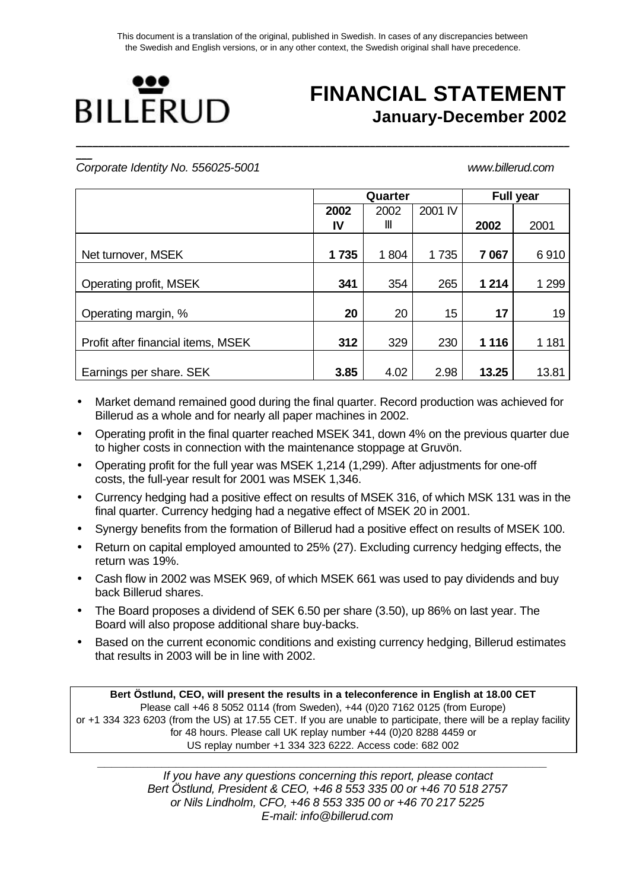**\_\_\_\_\_\_\_\_\_\_\_\_\_\_\_\_\_\_\_\_\_\_\_\_\_\_\_\_\_\_\_\_\_\_\_\_\_\_\_\_\_\_\_\_\_\_\_\_\_\_\_\_\_\_\_\_\_\_\_\_\_\_\_\_\_\_\_\_\_\_\_\_\_\_\_\_\_\_\_\_\_\_\_\_\_\_\_\_\_**



# **FINANCIAL STATEMENT January-December 2002**

**\_\_\_** *Corporate Identity No. 556025-5001 www.billerud.com*

|                                    |      | Quarter |         |         | <b>Full year</b> |
|------------------------------------|------|---------|---------|---------|------------------|
|                                    | 2002 | 2002    | 2001 IV |         |                  |
|                                    | IV   | Ш       |         | 2002    | 2001             |
|                                    |      |         |         |         |                  |
| Net turnover, MSEK                 | 1735 | 1804    | 1735    | 7 0 6 7 | 6910             |
|                                    |      |         |         |         |                  |
| Operating profit, MSEK             | 341  | 354     | 265     | 1 2 1 4 | 1 2 9 9          |
|                                    |      |         |         |         |                  |
| Operating margin, %                | 20   | 20      | 15      | 17      | 19               |
|                                    |      |         |         |         |                  |
| Profit after financial items, MSEK | 312  | 329     | 230     | 1 1 1 6 | 1 1 8 1          |
|                                    |      |         |         |         |                  |
| Earnings per share. SEK            | 3.85 | 4.02    | 2.98    | 13.25   | 13.81            |

- Market demand remained good during the final quarter. Record production was achieved for Billerud as a whole and for nearly all paper machines in 2002.
- Operating profit in the final quarter reached MSEK 341, down 4% on the previous quarter due to higher costs in connection with the maintenance stoppage at Gruvön.
- Operating profit for the full year was MSEK 1,214 (1,299). After adjustments for one-off costs, the full-year result for 2001 was MSEK 1,346.
- Currency hedging had a positive effect on results of MSEK 316, of which MSK 131 was in the final quarter. Currency hedging had a negative effect of MSEK 20 in 2001.
- Synergy benefits from the formation of Billerud had a positive effect on results of MSEK 100.
- Return on capital employed amounted to 25% (27). Excluding currency hedging effects, the return was 19%.
- Cash flow in 2002 was MSEK 969, of which MSEK 661 was used to pay dividends and buy back Billerud shares.
- The Board proposes a dividend of SEK 6.50 per share (3.50), up 86% on last year. The Board will also propose additional share buy-backs.
- Based on the current economic conditions and existing currency hedging, Billerud estimates that results in 2003 will be in line with 2002.

**Bert Östlund, CEO, will present the results in a teleconference in English at 18.00 CET** Please call +46 8 5052 0114 (from Sweden), +44 (0)20 7162 0125 (from Europe) or +1 334 323 6203 (from the US) at 17.55 CET. If you are unable to participate, there will be a replay facility for 48 hours. Please call UK replay number +44 (0)20 8288 4459 or US replay number +1 334 323 6222. Access code: 682 002

*\_\_\_\_\_\_\_\_\_\_\_\_\_\_\_\_\_\_\_\_\_\_\_\_\_\_\_\_\_\_\_\_\_\_\_\_\_\_\_\_\_\_\_\_\_\_\_\_\_\_\_\_\_\_\_\_\_\_\_\_\_\_\_ If you have any questions concerning this report, please contact Bert Östlund, President & CEO, +46 8 553 335 00 or +46 70 518 2757 or Nils Lindholm, CFO, +46 8 553 335 00 or +46 70 217 5225 E-mail: info@billerud.com*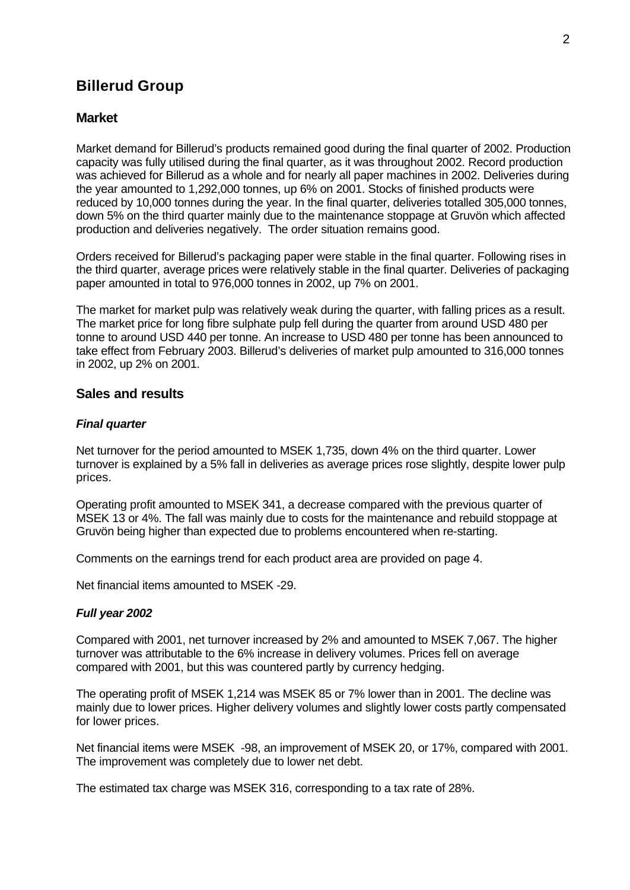## **Billerud Group**

## **Market**

Market demand for Billerud's products remained good during the final quarter of 2002. Production capacity was fully utilised during the final quarter, as it was throughout 2002. Record production was achieved for Billerud as a whole and for nearly all paper machines in 2002. Deliveries during the year amounted to 1,292,000 tonnes, up 6% on 2001. Stocks of finished products were reduced by 10,000 tonnes during the year. In the final quarter, deliveries totalled 305,000 tonnes, down 5% on the third quarter mainly due to the maintenance stoppage at Gruvön which affected production and deliveries negatively. The order situation remains good.

Orders received for Billerud's packaging paper were stable in the final quarter. Following rises in the third quarter, average prices were relatively stable in the final quarter. Deliveries of packaging paper amounted in total to 976,000 tonnes in 2002, up 7% on 2001.

The market for market pulp was relatively weak during the quarter, with falling prices as a result. The market price for long fibre sulphate pulp fell during the quarter from around USD 480 per tonne to around USD 440 per tonne. An increase to USD 480 per tonne has been announced to take effect from February 2003. Billerud's deliveries of market pulp amounted to 316,000 tonnes in 2002, up 2% on 2001.

### **Sales and results**

### *Final quarter*

Net turnover for the period amounted to MSEK 1,735, down 4% on the third quarter. Lower turnover is explained by a 5% fall in deliveries as average prices rose slightly, despite lower pulp prices.

Operating profit amounted to MSEK 341, a decrease compared with the previous quarter of MSEK 13 or 4%. The fall was mainly due to costs for the maintenance and rebuild stoppage at Gruvön being higher than expected due to problems encountered when re-starting.

Comments on the earnings trend for each product area are provided on page 4.

Net financial items amounted to MSEK -29.

### *Full year 2002*

Compared with 2001, net turnover increased by 2% and amounted to MSEK 7,067. The higher turnover was attributable to the 6% increase in delivery volumes. Prices fell on average compared with 2001, but this was countered partly by currency hedging.

The operating profit of MSEK 1,214 was MSEK 85 or 7% lower than in 2001. The decline was mainly due to lower prices. Higher delivery volumes and slightly lower costs partly compensated for lower prices.

Net financial items were MSEK -98, an improvement of MSEK 20, or 17%, compared with 2001. The improvement was completely due to lower net debt.

The estimated tax charge was MSEK 316, corresponding to a tax rate of 28%.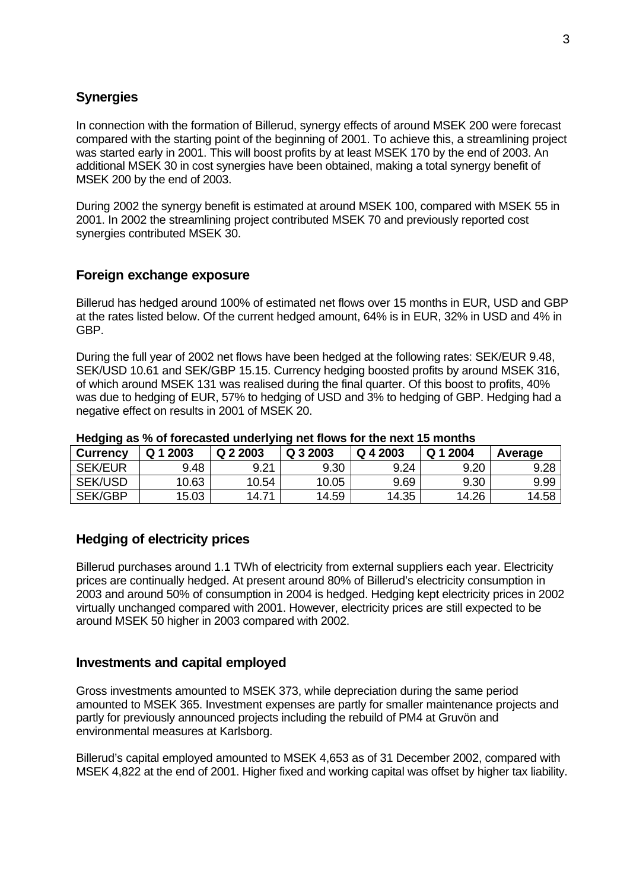## **Synergies**

In connection with the formation of Billerud, synergy effects of around MSEK 200 were forecast compared with the starting point of the beginning of 2001. To achieve this, a streamlining project was started early in 2001. This will boost profits by at least MSEK 170 by the end of 2003. An additional MSEK 30 in cost synergies have been obtained, making a total synergy benefit of MSEK 200 by the end of 2003.

During 2002 the synergy benefit is estimated at around MSEK 100, compared with MSEK 55 in 2001. In 2002 the streamlining project contributed MSEK 70 and previously reported cost synergies contributed MSEK 30.

## **Foreign exchange exposure**

Billerud has hedged around 100% of estimated net flows over 15 months in EUR, USD and GBP at the rates listed below. Of the current hedged amount, 64% is in EUR, 32% in USD and 4% in GBP.

During the full year of 2002 net flows have been hedged at the following rates: SEK/EUR 9.48, SEK/USD 10.61 and SEK/GBP 15.15. Currency hedging boosted profits by around MSEK 316, of which around MSEK 131 was realised during the final quarter. Of this boost to profits, 40% was due to hedging of EUR, 57% to hedging of USD and 3% to hedging of GBP. Hedging had a negative effect on results in 2001 of MSEK 20.

| <b>Currency</b> | Q 1 2003 | Q 2 2003 | Q 3 2003 | Q 4 2003 | Q 1 2004 | Average |
|-----------------|----------|----------|----------|----------|----------|---------|
| <b>SEK/EUR</b>  | 9.48     | 9.21     | 9.30     | 9.24     | 9.20     | 9.28    |
| <b>SEK/USD</b>  | 10.63    | 10.54    | 10.05    | 9.69     | 9.30     | 9.99    |
| <b>SEK/GBP</b>  | 15.03    | 14.71    | 14.59    | 14.35    | 14.26    | 14.58   |

**Hedging as % of forecasted underlying net flows for the next 15 months**

## **Hedging of electricity prices**

Billerud purchases around 1.1 TWh of electricity from external suppliers each year. Electricity prices are continually hedged. At present around 80% of Billerud's electricity consumption in 2003 and around 50% of consumption in 2004 is hedged. Hedging kept electricity prices in 2002 virtually unchanged compared with 2001. However, electricity prices are still expected to be around MSEK 50 higher in 2003 compared with 2002.

## **Investments and capital employed**

Gross investments amounted to MSEK 373, while depreciation during the same period amounted to MSEK 365. Investment expenses are partly for smaller maintenance projects and partly for previously announced projects including the rebuild of PM4 at Gruvön and environmental measures at Karlsborg.

Billerud's capital employed amounted to MSEK 4,653 as of 31 December 2002, compared with MSEK 4,822 at the end of 2001. Higher fixed and working capital was offset by higher tax liability.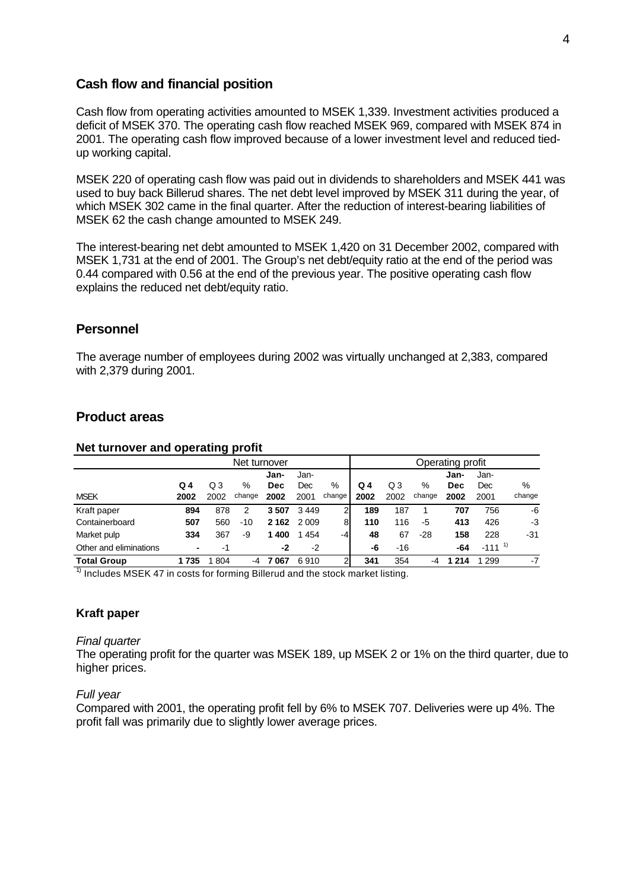### **Cash flow and financial position**

Cash flow from operating activities amounted to MSEK 1,339. Investment activities produced a deficit of MSEK 370. The operating cash flow reached MSEK 969, compared with MSEK 874 in 2001. The operating cash flow improved because of a lower investment level and reduced tiedup working capital.

MSEK 220 of operating cash flow was paid out in dividends to shareholders and MSEK 441 was used to buy back Billerud shares. The net debt level improved by MSEK 311 during the year, of which MSEK 302 came in the final quarter. After the reduction of interest-bearing liabilities of MSEK 62 the cash change amounted to MSEK 249.

The interest-bearing net debt amounted to MSEK 1,420 on 31 December 2002, compared with MSEK 1,731 at the end of 2001. The Group's net debt/equity ratio at the end of the period was 0.44 compared with 0.56 at the end of the previous year. The positive operating cash flow explains the reduced net debt/equity ratio.

## **Personnel**

The average number of employees during 2002 was virtually unchanged at 2,383, compared with 2,379 during 2001.

### **Product areas**

|                        | Net turnover |      |        |            | Operating profit |        |      |       |        |            |             |        |
|------------------------|--------------|------|--------|------------|------------------|--------|------|-------|--------|------------|-------------|--------|
|                        |              |      |        | Jan-       | Jan-             |        |      |       |        | Jan-       | Jan-        |        |
|                        | Q 4          | Q3   | %      | <b>Dec</b> | Dec              | %      | Q 4  | Q3    | %      | <b>Dec</b> | Dec         | %      |
| <b>MSEK</b>            | 2002         | 2002 | change | 2002       | 2001             | change | 2002 | 2002  | change | 2002       | 2001        | change |
| Kraft paper            | 894          | 878  | 2      | 3507       | 3449             | ົ      | 189  | 187   |        | 707        | 756         | -6     |
| Containerboard         | 507          | 560  | -10    | 2 1 6 2    | 2 0 0 9          | 81     | 110  | 116   | -5     | 413        | 426         | $-3$   |
| Market pulp            | 334          | 367  | -9     | 400        | 454              | $-4$   | 48   | 67    | $-28$  | 158        | 228         | -31    |
| Other and eliminations |              | -1   |        | -2         | $-2$             |        | -6   | $-16$ |        | -64        | $-111^{-1}$ |        |
| <b>Total Group</b>     | 1735         | 804  | -4     | 7 067      | 6910             |        | 341  | 354   | -4     | 214        | 299         | $-7$   |

#### **Net turnover and operating profit**

 $1)$  Includes MSEK 47 in costs for forming Billerud and the stock market listing.

#### **Kraft paper**

#### *Final quarter*

The operating profit for the quarter was MSEK 189, up MSEK 2 or 1% on the third quarter, due to higher prices.

#### *Full year*

Compared with 2001, the operating profit fell by 6% to MSEK 707. Deliveries were up 4%. The profit fall was primarily due to slightly lower average prices.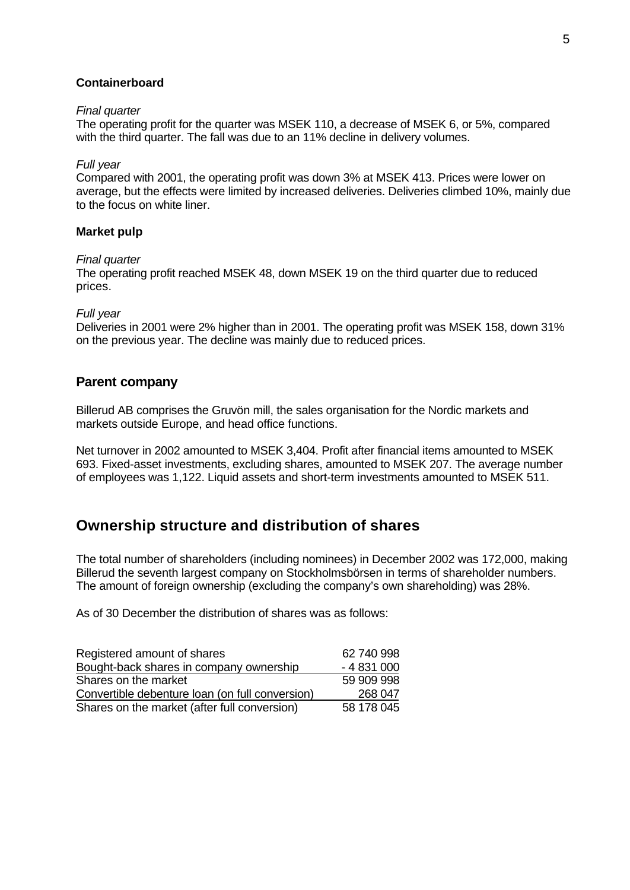#### **Containerboard**

#### *Final quarter*

The operating profit for the quarter was MSEK 110, a decrease of MSEK 6, or 5%, compared with the third quarter. The fall was due to an 11% decline in delivery volumes.

#### *Full year*

Compared with 2001, the operating profit was down 3% at MSEK 413. Prices were lower on average, but the effects were limited by increased deliveries. Deliveries climbed 10%, mainly due to the focus on white liner.

#### **Market pulp**

#### *Final quarter*

The operating profit reached MSEK 48, down MSEK 19 on the third quarter due to reduced prices.

#### *Full year*

Deliveries in 2001 were 2% higher than in 2001. The operating profit was MSEK 158, down 31% on the previous year. The decline was mainly due to reduced prices.

#### **Parent company**

Billerud AB comprises the Gruvön mill, the sales organisation for the Nordic markets and markets outside Europe, and head office functions.

Net turnover in 2002 amounted to MSEK 3,404. Profit after financial items amounted to MSEK 693. Fixed-asset investments, excluding shares, amounted to MSEK 207. The average number of employees was 1,122. Liquid assets and short-term investments amounted to MSEK 511.

## **Ownership structure and distribution of shares**

The total number of shareholders (including nominees) in December 2002 was 172,000, making Billerud the seventh largest company on Stockholmsbörsen in terms of shareholder numbers. The amount of foreign ownership (excluding the company's own shareholding) was 28%.

As of 30 December the distribution of shares was as follows:

| Registered amount of shares                     | 62 740 998 |
|-------------------------------------------------|------------|
| Bought-back shares in company ownership         | $-4831000$ |
| Shares on the market                            | 59 909 998 |
| Convertible debenture loan (on full conversion) | 268 047    |
| Shares on the market (after full conversion)    | 58 178 045 |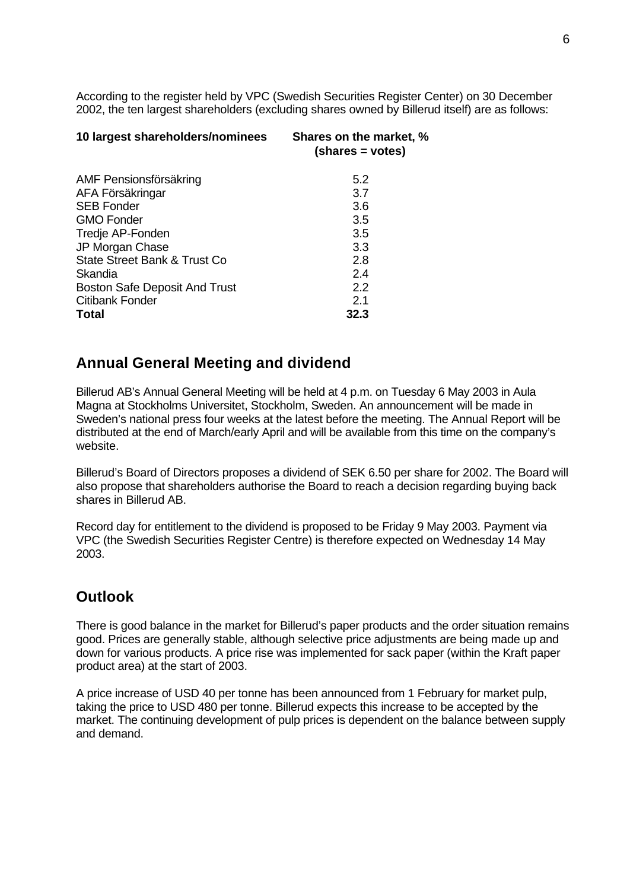According to the register held by VPC (Swedish Securities Register Center) on 30 December 2002, the ten largest shareholders (excluding shares owned by Billerud itself) are as follows:

| 10 largest shareholders/nominees     | Shares on the market, %<br>(shares = votes) |
|--------------------------------------|---------------------------------------------|
| AMF Pensionsförsäkring               | 5.2                                         |
| AFA Försäkringar                     | 3.7                                         |
| <b>SEB Fonder</b>                    | 3.6                                         |
| <b>GMO Fonder</b>                    | 3.5                                         |
| Tredje AP-Fonden                     | 3.5                                         |
| JP Morgan Chase                      | 3.3                                         |
| State Street Bank & Trust Co         | 2.8                                         |
| Skandia                              | 2.4                                         |
| <b>Boston Safe Deposit And Trust</b> | 2.2                                         |
| <b>Citibank Fonder</b>               | 2.1                                         |
| <b>Total</b>                         | 32.3                                        |

## **Annual General Meeting and dividend**

Billerud AB's Annual General Meeting will be held at 4 p.m. on Tuesday 6 May 2003 in Aula Magna at Stockholms Universitet, Stockholm, Sweden. An announcement will be made in Sweden's national press four weeks at the latest before the meeting. The Annual Report will be distributed at the end of March/early April and will be available from this time on the company's website.

Billerud's Board of Directors proposes a dividend of SEK 6.50 per share for 2002. The Board will also propose that shareholders authorise the Board to reach a decision regarding buying back shares in Billerud AB.

Record day for entitlement to the dividend is proposed to be Friday 9 May 2003. Payment via VPC (the Swedish Securities Register Centre) is therefore expected on Wednesday 14 May 2003.

## **Outlook**

There is good balance in the market for Billerud's paper products and the order situation remains good. Prices are generally stable, although selective price adjustments are being made up and down for various products. A price rise was implemented for sack paper (within the Kraft paper product area) at the start of 2003.

A price increase of USD 40 per tonne has been announced from 1 February for market pulp, taking the price to USD 480 per tonne. Billerud expects this increase to be accepted by the market. The continuing development of pulp prices is dependent on the balance between supply and demand.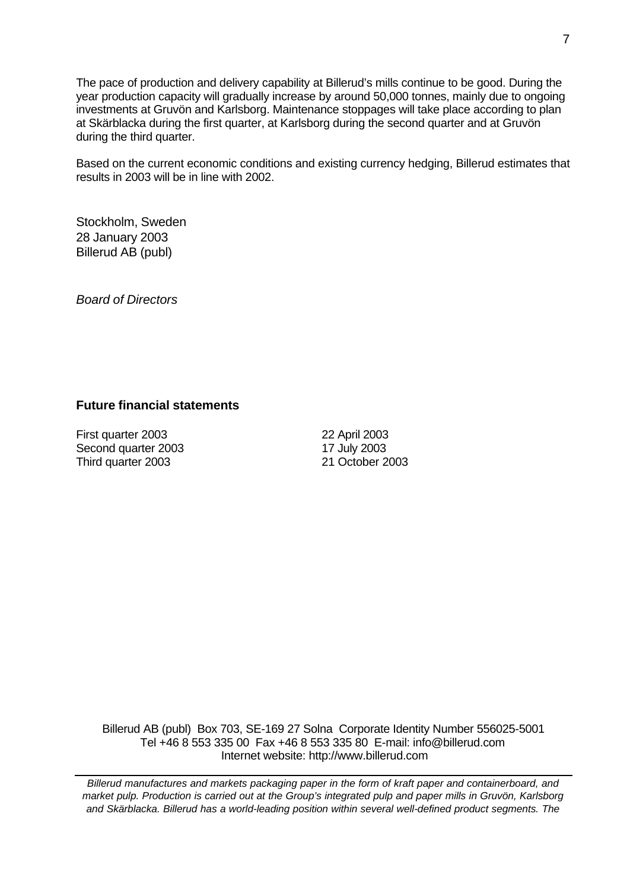The pace of production and delivery capability at Billerud's mills continue to be good. During the year production capacity will gradually increase by around 50,000 tonnes, mainly due to ongoing investments at Gruvön and Karlsborg. Maintenance stoppages will take place according to plan at Skärblacka during the first quarter, at Karlsborg during the second quarter and at Gruvön during the third quarter.

Based on the current economic conditions and existing currency hedging, Billerud estimates that results in 2003 will be in line with 2002.

Stockholm, Sweden 28 January 2003 Billerud AB (publ)

*Board of Directors*

## **Future financial statements**

First quarter 2003 22 April 2003 Second quarter 2003 17 July 2003 Third quarter 2003 21 October 2003

Billerud AB (publ) Box 703, SE-169 27 Solna Corporate Identity Number 556025-5001 Tel +46 8 553 335 00 Fax +46 8 553 335 80 E-mail: info@billerud.com Internet website: http://www.billerud.com

*Billerud manufactures and markets packaging paper in the form of kraft paper and containerboard, and market pulp. Production is carried out at the Group's integrated pulp and paper mills in Gruvön, Karlsborg and Skärblacka. Billerud has a world-leading position within several well-defined product segments. The*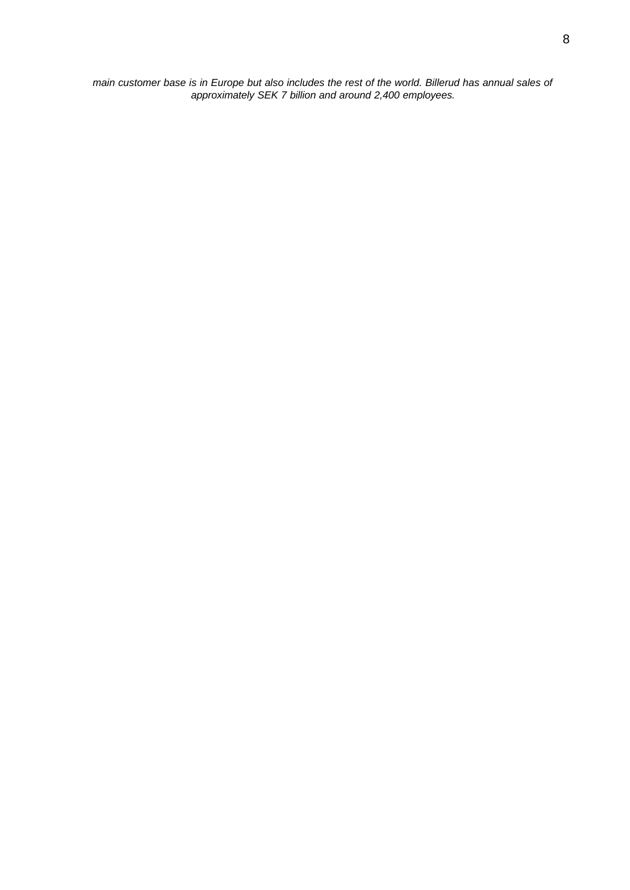*main customer base is in Europe but also includes the rest of the world. Billerud has annual sales of approximately SEK 7 billion and around 2,400 employees.*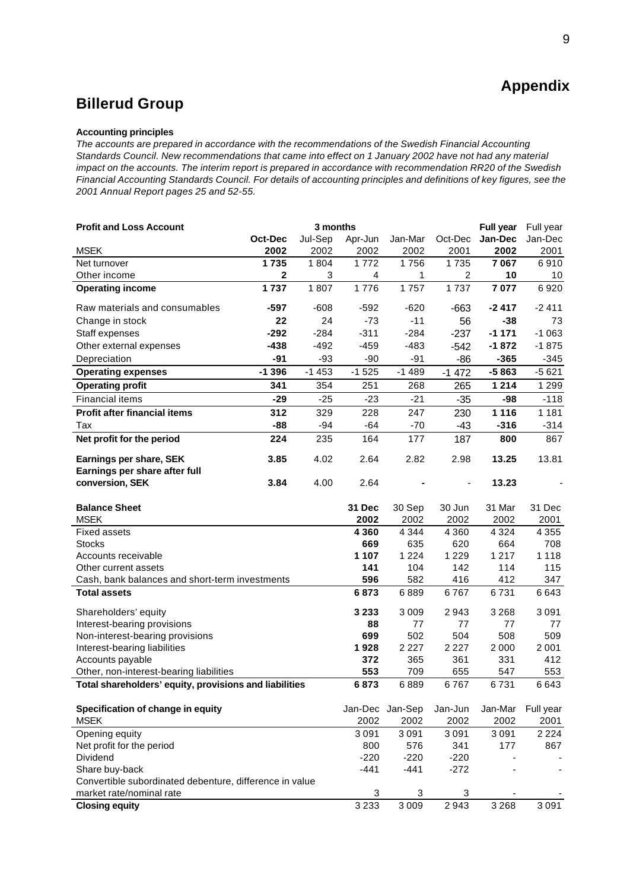## **Appendix**

## **Billerud Group**

#### **Accounting principles**

*The accounts are prepared in accordance with the recommendations of the Swedish Financial Accounting Standards Council. New recommendations that came into effect on 1 January 2002 have not had any material impact on the accounts. The interim report is prepared in accordance with recommendation RR20 of the Swedish Financial Accounting Standards Council. For details of accounting principles and definitions of key figures, see the 2001 Annual Report pages 25 and 52-55.*

| <b>Profit and Loss Account</b>                          |              | 3 months |                |                    |                | <b>Full year</b> |             |  |
|---------------------------------------------------------|--------------|----------|----------------|--------------------|----------------|------------------|-------------|--|
|                                                         | Oct-Dec      | Jul-Sep  | Apr-Jun        | Jan-Mar            | Oct-Dec        | Jan-Dec          | Jan-Dec     |  |
| <b>MSEK</b>                                             | 2002         | 2002     | 2002           | 2002               | 2001           | 2002             | 2001        |  |
| Net turnover                                            | 1735         | 1804     | 1772           | 1756               | 1735           | 7067             | 6910        |  |
| Other income                                            | $\mathbf{2}$ | 3        | $\overline{4}$ | 1                  | $\overline{c}$ | 10               | 10          |  |
| <b>Operating income</b>                                 | 1737         | 1807     | 1776           | $\overline{1}$ 757 | 1737           | 7077             | 6920        |  |
| Raw materials and consumables                           | $-597$       | $-608$   | $-592$         | $-620$             | $-663$         | $-2417$          | $-2411$     |  |
| Change in stock                                         | 22           | 24       | $-73$          | $-11$              | 56             | $-38$            | 73          |  |
| Staff expenses                                          | $-292$       | $-284$   | $-311$         | $-284$             | $-237$         | $-1171$          | $-1063$     |  |
| Other external expenses                                 | $-438$       | $-492$   | $-459$         | $-483$             | $-542$         | $-1872$          | $-1875$     |  |
| Depreciation                                            | $-91$        | $-93$    | $-90$          | $-91$              | $-86$          | $-365$           | $-345$      |  |
| <b>Operating expenses</b>                               | $-1396$      | $-1453$  | $-1525$        | $-1489$            | $-1472$        | $-5863$          | $-5621$     |  |
| <b>Operating profit</b>                                 | 341          | 354      | 251            | 268                | 265            | 1 2 1 4          | 1 2 9 9     |  |
| <b>Financial items</b>                                  | $-29$        | $-25$    | $-23$          | $-21$              | $-35$          | -98              | $-118$      |  |
| <b>Profit after financial items</b>                     | 312          | 329      | 228            | 247                | 230            | 1 1 1 6          | 1 1 8 1     |  |
| Tax                                                     | $-88$        | $-94$    | $-64$          | $-70$              | $-43$          | $-316$           | $-314$      |  |
| Net profit for the period                               | 224          | 235      | 164            | 177                | 187            | 800              | 867         |  |
| Earnings per share, SEK                                 | 3.85         | 4.02     | 2.64           | 2.82               | 2.98           | 13.25            | 13.81       |  |
| Earnings per share after full                           |              |          |                |                    |                |                  |             |  |
| conversion, SEK                                         | 3.84         | 4.00     | 2.64           |                    |                | 13.23            |             |  |
| <b>Balance Sheet</b>                                    |              |          | 31 Dec         | 30 Sep             | 30 Jun         | 31 Mar           | 31 Dec      |  |
| <b>MSEK</b>                                             |              |          | 2002           | 2002               | 2002           | 2002             | 2001        |  |
| <b>Fixed assets</b>                                     |              |          | 4 3 6 0        | 4 3 4 4            | 4 3 6 0        | 4 3 2 4          | 4 3 5 5     |  |
| <b>Stocks</b>                                           |              |          | 669            | 635                | 620            | 664              | 708         |  |
| Accounts receivable                                     |              |          | 1 1 0 7        | 1 2 2 4            | 1 2 2 9        | 1 2 1 7          | 1 1 1 8     |  |
| Other current assets                                    |              |          | 141            | 104                | 142            | 114              | 115         |  |
| Cash, bank balances and short-term investments          |              |          | 596            | 582                | 416            | 412              | 347         |  |
| <b>Total assets</b>                                     |              |          | 6873           | 6889               | 6767           | 6731             | 6643        |  |
| Shareholders' equity                                    |              |          | 3 2 3 3        | 3 0 0 9            | 2943           | 3 2 6 8          | 3 0 9 1     |  |
| Interest-bearing provisions                             |              |          | 88             | 77                 | 77             | 77               | 77          |  |
| Non-interest-bearing provisions                         |              |          | 699            | 502                | 504            | 508              | 509         |  |
| Interest-bearing liabilities                            |              |          | 1928           | 2 2 2 7            | 2 2 2 7        | 2 0 0 0          | 2 0 0 1     |  |
| Accounts payable                                        |              |          | 372            | 365                | 361            | 331              | 412         |  |
| Other, non-interest-bearing liabilities                 |              |          | 553<br>6873    | 709                | 655<br>6767    | 547              | 553<br>6643 |  |
| Total shareholders' equity, provisions and liabilities  |              |          |                | 6889               |                | 6731             |             |  |
| Specification of change in equity                       |              |          |                | Jan-Dec Jan-Sep    | Jan-Jun        | Jan-Mar          | Full year   |  |
| <b>MSEK</b>                                             |              |          | 2002           | 2002               | 2002           | 2002             | 2001        |  |
| Opening equity                                          |              |          | 3091           | 3 0 9 1            | 3 0 9 1        | 3 0 9 1          | 2 2 2 4     |  |
| Net profit for the period                               |              |          | 800            | 576                | 341            | 177              | 867         |  |
| Dividend                                                |              |          | $-220$         | $-220$             | $-220$         |                  |             |  |
| Share buy-back                                          |              |          | $-441$         | $-441$             | $-272$         |                  |             |  |
| Convertible subordinated debenture, difference in value |              |          |                |                    |                |                  |             |  |
| market rate/nominal rate                                |              |          | 3              | 3                  | 3              |                  |             |  |
| <b>Closing equity</b>                                   |              |          | 3 2 3 3        | 3 0 0 9            | 2943           | 3 2 6 8          | 3 0 9 1     |  |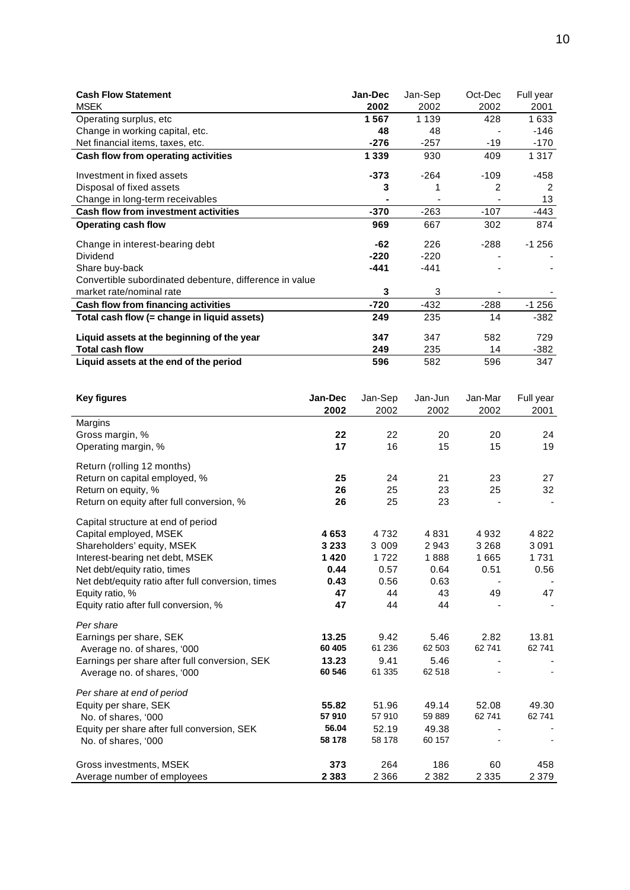| <b>Cash Flow Statement</b>                              | <b>Jan-Dec</b> | Jan-Sep | Oct-Dec | Full year |
|---------------------------------------------------------|----------------|---------|---------|-----------|
| <b>MSEK</b>                                             | 2002           | 2002    | 2002    | 2001      |
| Operating surplus, etc.                                 | 1567           | 1 1 3 9 | 428     | 1633      |
| Change in working capital, etc.                         | 48             | 48      |         | -146      |
| Net financial items, taxes, etc.                        | $-276$         | $-257$  | $-19$   | $-170$    |
| Cash flow from operating activities                     | 1 3 3 9        | 930     | 409     | 1 3 1 7   |
| Investment in fixed assets                              | $-373$         | $-264$  | -109    | -458      |
| Disposal of fixed assets                                | 3              |         | 2       | 2         |
| Change in long-term receivables                         |                |         |         | 13        |
| Cash flow from investment activities                    | $-370$         | $-263$  | $-107$  | -443      |
| <b>Operating cash flow</b>                              | 969            | 667     | 302     | 874       |
| Change in interest-bearing debt                         | -62            | 226     | $-288$  | $-1256$   |
| <b>Dividend</b>                                         | $-220$         | $-220$  |         |           |
| Share buy-back                                          | $-441$         | $-441$  |         |           |
| Convertible subordinated debenture, difference in value |                |         |         |           |
| market rate/nominal rate                                | 3              | 3       |         |           |
| Cash flow from financing activities                     | $-720$         | $-432$  | $-288$  | $-1256$   |
| Total cash flow (= change in liquid assets)             | 249            | 235     | 14      | $-382$    |
| Liquid assets at the beginning of the year              | 347            | 347     | 582     | 729       |
| <b>Total cash flow</b>                                  | 249            | 235     | 14      | -382      |
| Liquid assets at the end of the period                  | 596            | 582     | 596     | 347       |

| <b>Key figures</b>                                                                                                                                                                                                                                                              | Jan-Dec<br>2002                                     | Jan-Sep<br>2002                                     | Jan-Jun<br>2002                                  | Jan-Mar<br>2002                       | Full year<br>2001                  |
|---------------------------------------------------------------------------------------------------------------------------------------------------------------------------------------------------------------------------------------------------------------------------------|-----------------------------------------------------|-----------------------------------------------------|--------------------------------------------------|---------------------------------------|------------------------------------|
| Margins<br>Gross margin, %<br>Operating margin, %                                                                                                                                                                                                                               | 22<br>17                                            | 22<br>16                                            | 20<br>15                                         | 20<br>15                              | 24<br>19                           |
| Return (rolling 12 months)<br>Return on capital employed, %<br>Return on equity, %<br>Return on equity after full conversion, %                                                                                                                                                 | 25<br>26<br>26                                      | 24<br>25<br>25                                      | 21<br>23<br>23                                   | 23<br>25                              | 27<br>32                           |
| Capital structure at end of period<br>Capital employed, MSEK<br>Shareholders' equity, MSEK<br>Interest-bearing net debt, MSEK<br>Net debt/equity ratio, times<br>Net debt/equity ratio after full conversion, times<br>Equity ratio, %<br>Equity ratio after full conversion, % | 4653<br>3 2 3 3<br>1420<br>0.44<br>0.43<br>47<br>47 | 4732<br>3 0 0 9<br>1722<br>0.57<br>0.56<br>44<br>44 | 4831<br>2943<br>1888<br>0.64<br>0.63<br>43<br>44 | 4932<br>3 2 6 8<br>1665<br>0.51<br>49 | 4822<br>3091<br>1731<br>0.56<br>47 |
| Per share<br>Earnings per share, SEK<br>Average no. of shares, '000<br>Earnings per share after full conversion, SEK<br>Average no. of shares, '000                                                                                                                             | 13.25<br>60 405<br>13.23<br>60 546                  | 9.42<br>61 236<br>9.41<br>61 335                    | 5.46<br>62 503<br>5.46<br>62 518                 | 2.82<br>62 741                        | 13.81<br>62741                     |
| Per share at end of period<br>Equity per share, SEK<br>No. of shares, '000<br>Equity per share after full conversion, SEK<br>No. of shares, '000                                                                                                                                | 55.82<br>57910<br>56.04<br>58 178                   | 51.96<br>57910<br>52.19<br>58 178                   | 49.14<br>59 889<br>49.38<br>60 157               | 52.08<br>62741                        | 49.30<br>62741                     |
| Gross investments, MSEK<br>Average number of employees                                                                                                                                                                                                                          | 373<br>2 3 8 3                                      | 264<br>2 3 6 6                                      | 186<br>2 3 8 2                                   | 60<br>2 3 3 5                         | 458<br>2 3 7 9                     |